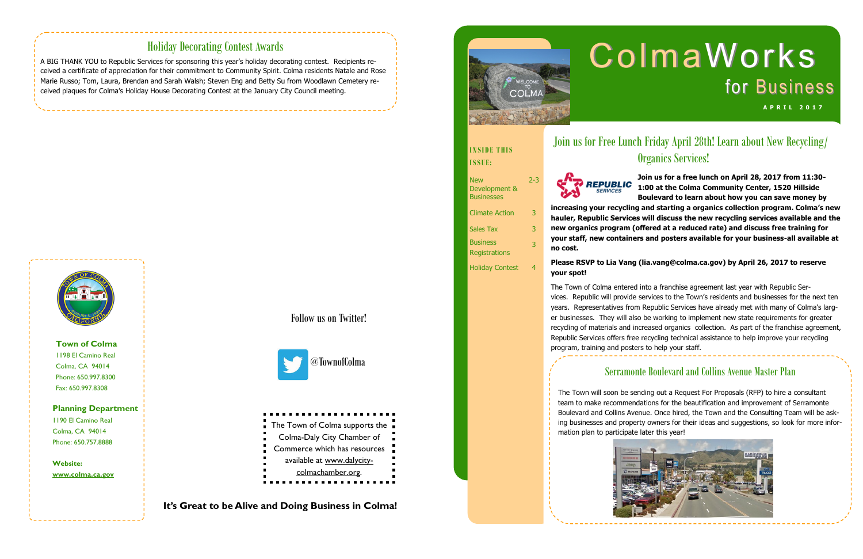**Town of Colma** 1198 El Camino Real Colma, CA 94014 Phone: 650.997.8300 Fax: 650.997.8308

#### **Planning Department**

1190 El Camino Real Colma, CA 94014 Phone: 650.757.8888

**Website:** 

**www.colma.ca.gov**

**It's Great to be Alive and Doing Business in Colma!**





Follow us on Twitter!



### Holiday Decorating Contest Awards

# **ColmaWorks** for Business **A P R I L 2 0 1 7**

A BIG THANK YOU to Republic Services for sponsoring this year's holiday decorating contest. Recipients received a certificate of appreciation for their commitment to Community Spirit. Colma residents Natale and Rose Marie Russo; Tom, Laura, Brendan and Sarah Walsh; Steven Eng and Betty Su from Woodlawn Cemetery received plaques for Colma's Holiday House Decorating Contest at the January City Council meeting.



2-3

Climate Action 3

Sales Tax 3 **Business** 

**Registrations** 

3

Holiday Contest 4

# Join us for Free Lunch Friday April 28th! Learn about New Recycling/ Organics Services!

### Serramonte Boulevard and Collins Avenue Master Plan



The Town will soon be sending out a Request For Proposals (RFP) to hire a consultant team to make recommendations for the beautification and improvement of Serramonte Boulevard and Collins Avenue. Once hired, the Town and the Consulting Team will be asking businesses and property owners for their ideas and suggestions, so look for more information plan to participate later this year!



**Join us for a free lunch on April 28, 2017 from 11:30- 1:00 at the Colma Community Center, 1520 Hillside Boulevard to learn about how you can save money by increasing your recycling and starting a organics collection program. Colma's new hauler, Republic Services will discuss the new recycling services available and the new organics program (offered at a reduced rate) and discuss free training for your staff, new containers and posters available for your business-all available at** 

**no cost.** 

### **INSIDE THIS**

**ISSUE:** 



**New** Development & **Businesses** 

### **Please RSVP to Lia Vang (lia.vang@colma.ca.gov) by April 26, 2017 to reserve your spot!**

The Town of Colma entered into a franchise agreement last year with Republic Services. Republic will provide services to the Town's residents and businesses for the next ten years. Representatives from Republic Services have already met with many of Colma's larger businesses. They will also be working to implement new state requirements for greater recycling of materials and increased organics collection. As part of the franchise agreement, Republic Services offers free recycling technical assistance to help improve your recycling program, training and posters to help your staff.